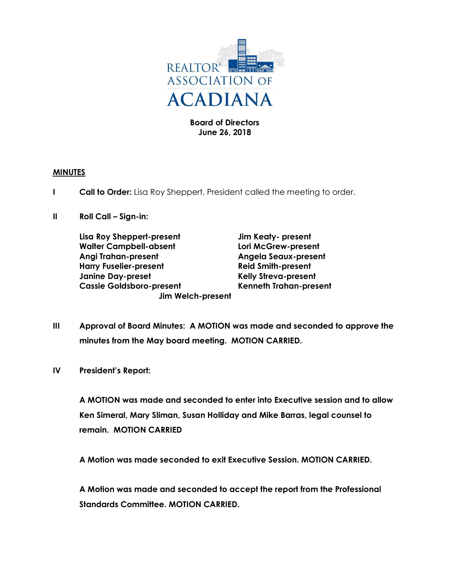

### Board of Directors June 26, 2018

### MINUTES

- **I Call to Order:** Lisa Roy Sheppert, President called the meeting to order.
- II Roll Call Sign-in:

Lisa Roy Sheppert-present Jim Keaty- present Walter Campbell-absent Lori McGrew-present Angi Trahan-present Angela Seaux-present Harry Fuselier-present **Reid Smith-present** Janine Day-preset The Relly Streva-present Cassie Goldsboro-present Kenneth Trahan-present Jim Welch-present

- III Approval of Board Minutes: A MOTION was made and seconded to approve the minutes from the May board meeting. MOTION CARRIED.
- IV President's Report:

A MOTION was made and seconded to enter into Executive session and to allow Ken Simeral, Mary Sliman, Susan Holliday and Mike Barras, legal counsel to remain. MOTION CARRIED

A Motion was made seconded to exit Executive Session. MOTION CARRIED.

A Motion was made and seconded to accept the report from the Professional Standards Committee. MOTION CARRIED.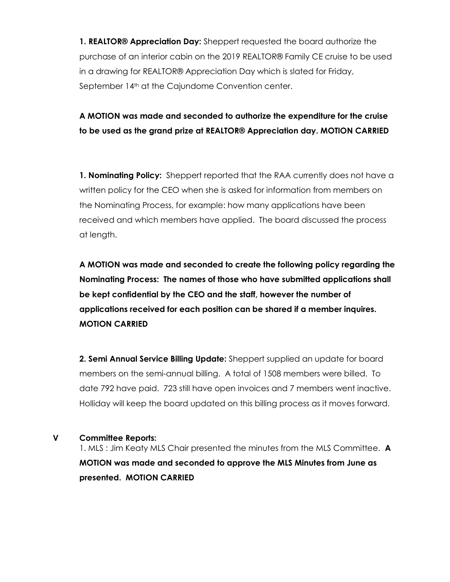1. REALTOR<sup>®</sup> Appreciation Day: Sheppert requested the board authorize the purchase of an interior cabin on the 2019 REALTOR® Family CE cruise to be used in a drawing for REALTOR® Appreciation Day which is slated for Friday, September 14<sup>th</sup> at the Cajundome Convention center.

A MOTION was made and seconded to authorize the expenditure for the cruise to be used as the grand prize at REALTOR® Appreciation day. MOTION CARRIED

1. Nominating Policy: Sheppert reported that the RAA currently does not have a written policy for the CEO when she is asked for information from members on the Nominating Process, for example: how many applications have been received and which members have applied. The board discussed the process at length.

A MOTION was made and seconded to create the following policy regarding the Nominating Process: The names of those who have submitted applications shall be kept confidential by the CEO and the staff, however the number of applications received for each position can be shared if a member inquires. MOTION CARRIED

2. Semi Annual Service Billing Update: Sheppert supplied an update for board members on the semi-annual billing. A total of 1508 members were billed. To date 792 have paid. 723 still have open invoices and 7 members went inactive. Holliday will keep the board updated on this billing process as it moves forward.

#### V Committee Reports:

1. MLS : Jim Keaty MLS Chair presented the minutes from the MLS Committee. A MOTION was made and seconded to approve the MLS Minutes from June as presented. MOTION CARRIED